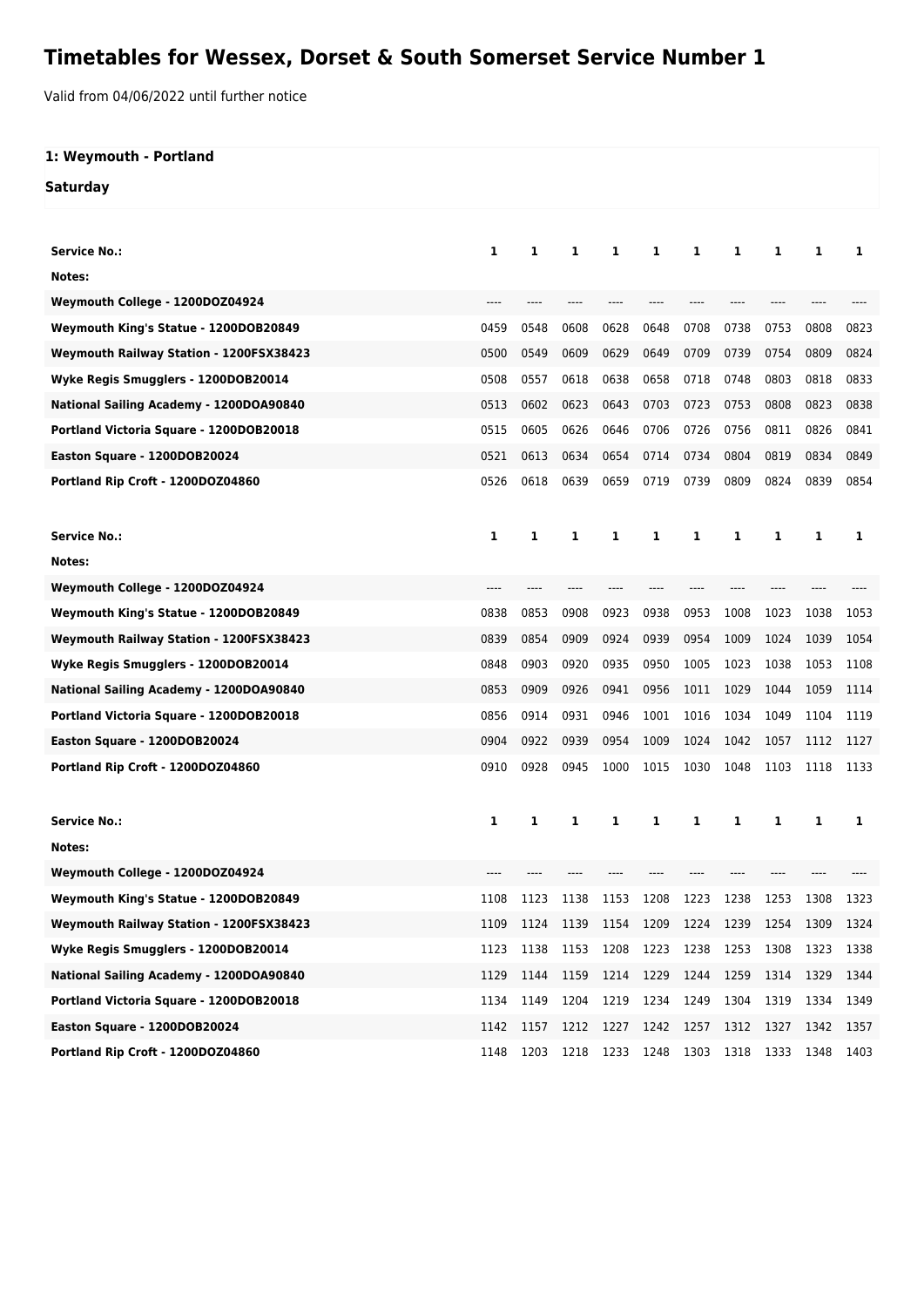## **Timetables for Wessex, Dorset & South Somerset Service Number 1**

Valid from 04/06/2022 until further notice

## **1: Weymouth - Portland Saturday**

| <b>Service No.:</b>                     | 1    | 1    | 1         | 1         | 1         | 1    | 1    | 1     | 1    | 1    |
|-----------------------------------------|------|------|-----------|-----------|-----------|------|------|-------|------|------|
| Notes:                                  |      |      |           |           |           |      |      |       |      |      |
| Weymouth College - 1200DOZ04924         |      |      |           |           |           |      |      |       |      |      |
| Weymouth King's Statue - 1200DOB20849   | 0459 | 0548 | 0608      | 0628      | 0648      | 0708 | 0738 | 0753  | 0808 | 0823 |
| Weymouth Railway Station - 1200FSX38423 | 0500 | 0549 | 0609      | 0629      | 0649      | 0709 | 0739 | 0754  | 0809 | 0824 |
| Wyke Regis Smugglers - 1200DOB20014     | 0508 | 0557 | 0618      | 0638      | 0658      | 0718 | 0748 | 0803  | 0818 | 0833 |
| National Sailing Academy - 1200DOA90840 | 0513 | 0602 | 0623      | 0643      | 0703      | 0723 | 0753 | 0808  | 0823 | 0838 |
| Portland Victoria Square - 1200DOB20018 | 0515 | 0605 | 0626      | 0646      | 0706      | 0726 | 0756 | 0811  | 0826 | 0841 |
| Easton Square - 1200DOB20024            | 0521 | 0613 | 0634      | 0654      | 0714      | 0734 | 0804 | 0819  | 0834 | 0849 |
| Portland Rip Croft - 1200DOZ04860       | 0526 | 0618 | 0639      | 0659      | 0719      | 0739 | 0809 | 0824  | 0839 | 0854 |
|                                         |      |      |           |           |           |      |      |       |      |      |
| <b>Service No.:</b>                     | 1    | 1    | 1         | 1         | 1         | 1    | 1    | 1     | 1    | 1    |
| Notes:                                  |      |      |           |           |           |      |      |       |      |      |
| Weymouth College - 1200DOZ04924         | ---- | ---- | ----      | ----      | ----      | ---- | ---- | $---$ | ---- |      |
| Weymouth King's Statue - 1200DOB20849   | 0838 | 0853 | 0908      | 0923      | 0938      | 0953 | 1008 | 1023  | 1038 | 1053 |
| Weymouth Railway Station - 1200FSX38423 | 0839 | 0854 | 0909      | 0924      | 0939      | 0954 | 1009 | 1024  | 1039 | 1054 |
| Wyke Regis Smugglers - 1200DOB20014     | 0848 | 0903 | 0920      | 0935      | 0950      | 1005 | 1023 | 1038  | 1053 | 1108 |
| National Sailing Academy - 1200DOA90840 | 0853 | 0909 | 0926      | 0941      | 0956      | 1011 | 1029 | 1044  | 1059 | 1114 |
| Portland Victoria Square - 1200DOB20018 | 0856 | 0914 | 0931      | 0946      | 1001      | 1016 | 1034 | 1049  | 1104 | 1119 |
| Easton Square - 1200DOB20024            | 0904 | 0922 | 0939      | 0954      | 1009      | 1024 | 1042 | 1057  | 1112 | 1127 |
| Portland Rip Croft - 1200DOZ04860       | 0910 | 0928 | 0945      | 1000      | 1015      | 1030 | 1048 | 1103  | 1118 | 1133 |
|                                         |      |      |           |           |           |      |      |       |      |      |
| <b>Service No.:</b>                     | 1    | 1    | 1         | 1         | 1         | 1    | 1    | 1     | 1    | 1    |
| Notes:                                  |      |      |           |           |           |      |      |       |      |      |
| Weymouth College - 1200DOZ04924         |      |      |           |           |           |      |      |       |      |      |
| Weymouth King's Statue - 1200DOB20849   | 1108 | 1123 | 1138      | 1153      | 1208      | 1223 | 1238 | 1253  | 1308 | 1323 |
| Weymouth Railway Station - 1200FSX38423 | 1109 | 1124 |           | 1139 1154 | 1209      | 1224 | 1239 | 1254  | 1309 | 1324 |
| Wyke Regis Smugglers - 1200DOB20014     | 1123 | 1138 | 1153      | 1208      | 1223      | 1238 | 1253 | 1308  | 1323 | 1338 |
| National Sailing Academy - 1200DOA90840 | 1129 | 1144 | 1159      | 1214      | 1229      | 1244 | 1259 | 1314  | 1329 | 1344 |
| Portland Victoria Square - 1200DOB20018 | 1134 | 1149 | 1204      | 1219      | 1234      | 1249 | 1304 | 1319  | 1334 | 1349 |
| Easton Square - 1200DOB20024            | 1142 | 1157 | 1212 1227 |           | 1242 1257 |      | 1312 | 1327  | 1342 | 1357 |
| Portland Rip Croft - 1200DOZ04860       | 1148 | 1203 | 1218      | 1233      | 1248      | 1303 | 1318 | 1333  | 1348 | 1403 |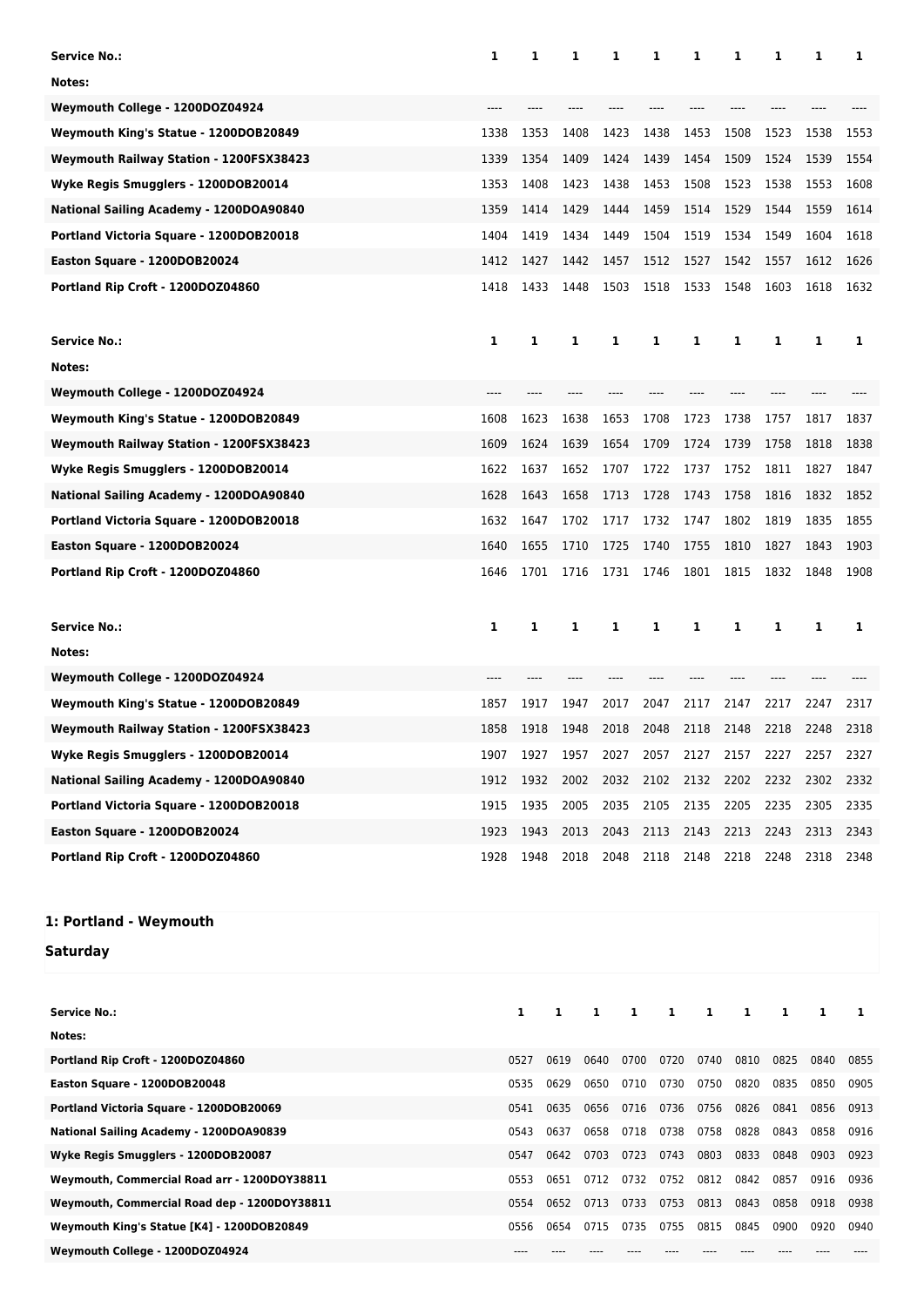| <b>Service No.:</b>                          | 1    | 1            | 1            |              | 1            | 1            | 1            | 1            | 1            | 1            | 1            |
|----------------------------------------------|------|--------------|--------------|--------------|--------------|--------------|--------------|--------------|--------------|--------------|--------------|
| Notes:                                       |      |              |              |              |              |              |              |              |              |              |              |
| Weymouth College - 1200DOZ04924              |      |              |              |              |              |              |              |              |              |              |              |
| Weymouth King's Statue - 1200DOB20849        | 1338 | 1353         | 1408         |              | 1423         | 1438         | 1453         | 1508         | 1523         | 1538         | 1553         |
| Weymouth Railway Station - 1200FSX38423      | 1339 | 1354         | 1409         |              | 1424         | 1439         | 1454         | 1509         | 1524         | 1539         | 1554         |
| Wyke Regis Smugglers - 1200DOB20014          | 1353 | 1408         | 1423         |              | 1438         | 1453         | 1508         | 1523         | 1538         | 1553         | 1608         |
| National Sailing Academy - 1200DOA90840      | 1359 | 1414         | 1429         |              | 1444         | 1459         | 1514         | 1529         | 1544         | 1559         | 1614         |
| Portland Victoria Square - 1200DOB20018      | 1404 | 1419         | 1434         |              | 1449         | 1504         | 1519         | 1534         | 1549         | 1604         | 1618         |
|                                              |      |              |              |              |              |              |              | 1542         |              |              |              |
| Easton Square - 1200DOB20024                 | 1412 | 1427         | 1442         |              | 1457         | 1512         | 1527         |              | 1557         | 1612         | 1626         |
| Portland Rip Croft - 1200DOZ04860            | 1418 | 1433         | 1448         |              | 1503         | 1518         | 1533         | 1548         | 1603         | 1618         | 1632         |
|                                              |      |              |              |              |              |              |              |              |              |              |              |
| <b>Service No.:</b>                          | 1    | 1            | 1            |              | 1            | 1            | 1            | 1            | 1            | 1            | 1            |
| Notes:                                       |      |              |              |              |              |              |              |              |              |              |              |
| Weymouth College - 1200DOZ04924              | ---- |              |              |              |              |              |              |              |              |              |              |
| Weymouth King's Statue - 1200DOB20849        | 1608 | 1623         | 1638         |              | 1653         | 1708         | 1723         | 1738         | 1757         | 1817         | 1837         |
| Weymouth Railway Station - 1200FSX38423      | 1609 | 1624         | 1639         |              | 1654         | 1709         | 1724         | 1739         | 1758         | 1818         | 1838         |
| Wyke Regis Smugglers - 1200DOB20014          | 1622 | 1637         | 1652         |              | 1707         | 1722         | 1737         | 1752         | 1811         | 1827         | 1847         |
| National Sailing Academy - 1200DOA90840      | 1628 | 1643         | 1658         |              | 1713         | 1728         | 1743         | 1758         | 1816         | 1832         | 1852         |
| Portland Victoria Square - 1200DOB20018      | 1632 | 1647         | 1702         |              | 1717         | 1732         | 1747         | 1802         | 1819         | 1835         | 1855         |
| Easton Square - 1200DOB20024                 | 1640 | 1655         | 1710         |              | 1725         | 1740         | 1755         | 1810         | 1827         | 1843         | 1903         |
| Portland Rip Croft - 1200DOZ04860            | 1646 | 1701         | 1716         |              | 1731         | 1746         | 1801         | 1815         | 1832         | 1848         | 1908         |
|                                              |      |              |              |              |              |              |              |              |              |              |              |
| <b>Service No.:</b>                          | 1    | 1            | 1            |              | 1            | 1            | 1            | 1            | 1            | 1            | 1            |
| Notes:                                       |      |              |              |              |              |              |              |              |              |              |              |
| Weymouth College - 1200DOZ04924              |      |              |              |              |              |              |              |              |              |              |              |
| Weymouth King's Statue - 1200DOB20849        | 1857 | 1917         | 1947         |              | 2017         | 2047         | 2117         | 2147         | 2217         | 2247         | 2317         |
| Weymouth Railway Station - 1200FSX38423      | 1858 | 1918         | 1948         |              | 2018         | 2048         | 2118         | 2148         | 2218         | 2248         | 2318         |
| Wyke Regis Smugglers - 1200DOB20014          | 1907 | 1927         | 1957         |              | 2027         | 2057         | 2127         | 2157         | 2227         | 2257         | 2327         |
| National Sailing Academy - 1200DOA90840      | 1912 | 1932         | 2002         |              | 2032         | 2102         | 2132         | 2202         | 2232         | 2302         | 2332         |
| Portland Victoria Square - 1200DOB20018      | 1915 | 1935         | 2005         |              | 2035         | 2105         | 2135         | 2205         | 2235         | 2305         | 2335         |
| Easton Square - 1200DOB20024                 | 1923 | 1943         | 2013         |              | 2043         | 2113         | 2143         | 2213         | 2243         | 2313         | 2343         |
| Portland Rip Croft - 1200DOZ04860            | 1928 | 1948         | 2018         |              | 2048         | 2118         | 2148         | 2218         | 2248         | 2318         | 2348         |
|                                              |      |              |              |              |              |              |              |              |              |              |              |
| 1: Portland - Weymouth                       |      |              |              |              |              |              |              |              |              |              |              |
|                                              |      |              |              |              |              |              |              |              |              |              |              |
| Saturday                                     |      |              |              |              |              |              |              |              |              |              |              |
|                                              |      |              |              |              |              |              |              |              |              |              |              |
| <b>Service No.:</b>                          |      | 1            | 1            | 1            | 1            | 1            | 1            | 1            | 1            | 1            | 1            |
| Notes:                                       |      |              |              |              |              |              |              |              |              |              |              |
| Portland Rip Croft - 1200DOZ04860            |      | 0527         | 0619         | 0640         | 0700         | 0720         | 0740         | 0810         | 0825         | 0840         | 0855         |
| Easton Square - 1200DOB20048                 |      | 0535         | 0629         | 0650         | 0710         | 0730         | 0750         | 0820         | 0835         | 0850         | 0905         |
| Portland Victoria Square - 1200DOB20069      |      | 0541         | 0635         | 0656         | 0716         | 0736         | 0756         | 0826         | 0841         | 0856         | 0913         |
| National Sailing Academy - 1200DOA90839      |      | 0543         | 0637         | 0658         | 0718         | 0738         | 0758         | 0828         | 0843         | 0858         | 0916         |
| Wyke Regis Smugglers - 1200DOB20087          |      | 0547         | 0642         | 0703         | 0723         | 0743         | 0803         | 0833         | 0848         | 0903         | 0923         |
| Weymouth, Commercial Road arr - 1200DOY38811 |      | 0553         | 0651         | 0712         | 0732         | 0752         | 0812         | 0842         | 0857         | 0916         | 0936         |
| Weymouth, Commercial Road dep - 1200DOY38811 |      | 0554<br>0556 | 0652<br>0654 | 0713<br>0715 | 0733<br>0735 | 0753<br>0755 | 0813<br>0815 | 0843<br>0845 | 0858<br>0900 | 0918<br>0920 | 0938<br>0940 |
| Weymouth King's Statue [K4] - 1200DOB20849   |      |              |              |              |              |              |              |              |              |              |              |
| Weymouth College - 1200DOZ04924              |      | $---$        | ----         | ----         |              | ----         | ----         |              | $- - - -$    | $---$        | $\cdots$     |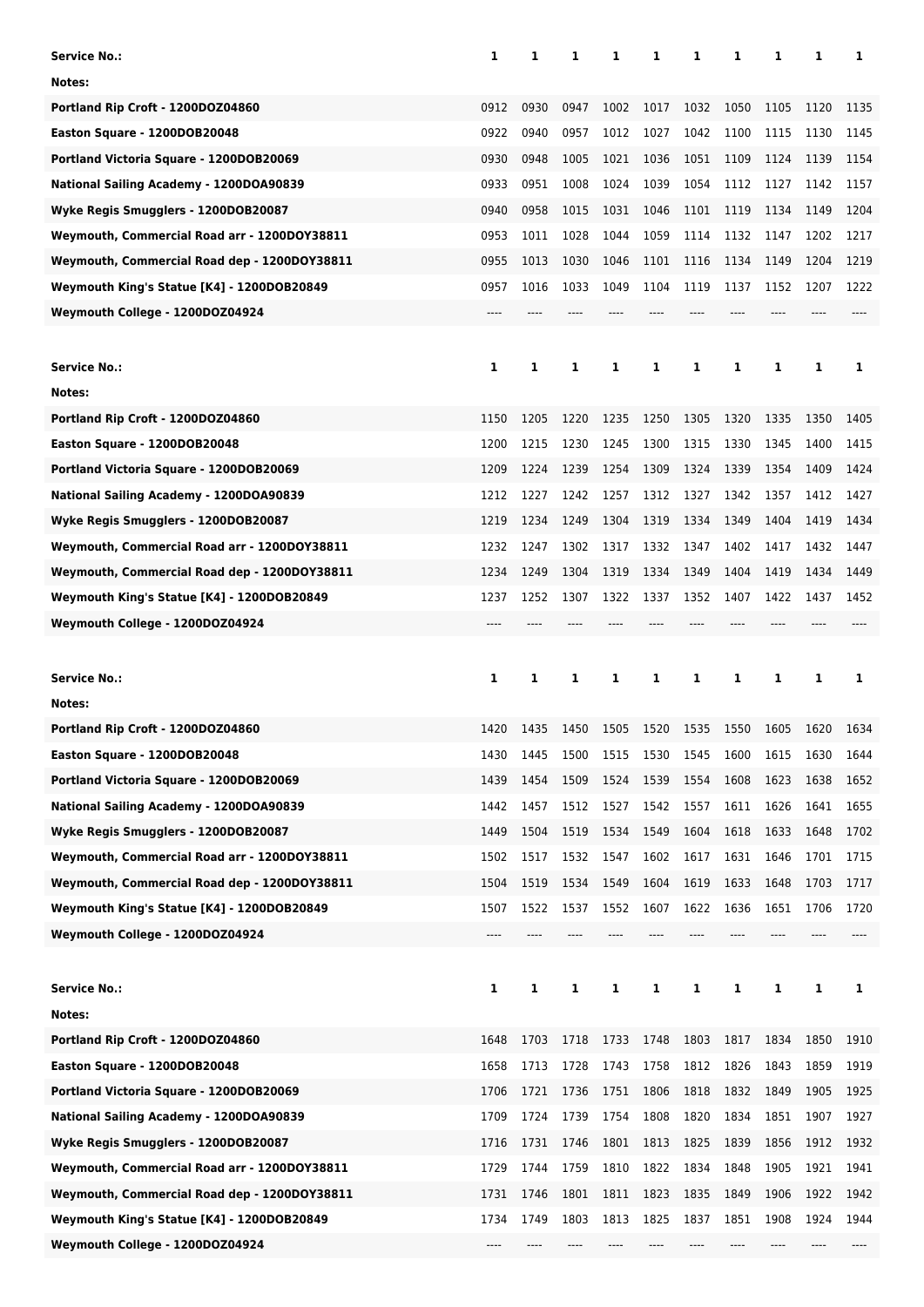| Service No.:                                 | 1    | 1    | 1    | 1    | 1    | 1    | 1    | 1    | 1    | 1    |
|----------------------------------------------|------|------|------|------|------|------|------|------|------|------|
| Notes:                                       |      |      |      |      |      |      |      |      |      |      |
| Portland Rip Croft - 1200DOZ04860            | 0912 | 0930 | 0947 | 1002 | 1017 | 1032 | 1050 | 1105 | 1120 | 1135 |
| Easton Square - 1200DOB20048                 | 0922 | 0940 | 0957 | 1012 | 1027 | 1042 | 1100 | 1115 | 1130 | 1145 |
| Portland Victoria Square - 1200DOB20069      | 0930 | 0948 | 1005 | 1021 | 1036 | 1051 | 1109 | 1124 | 1139 | 1154 |
| National Sailing Academy - 1200DOA90839      | 0933 | 0951 | 1008 | 1024 | 1039 | 1054 | 1112 | 1127 | 1142 | 1157 |
| Wyke Regis Smugglers - 1200DOB20087          | 0940 | 0958 | 1015 | 1031 | 1046 | 1101 | 1119 | 1134 | 1149 | 1204 |
| Weymouth, Commercial Road arr - 1200DOY38811 | 0953 | 1011 | 1028 | 1044 | 1059 | 1114 | 1132 | 1147 | 1202 | 1217 |
| Weymouth, Commercial Road dep - 1200DOY38811 | 0955 | 1013 | 1030 | 1046 | 1101 | 1116 | 1134 | 1149 | 1204 | 1219 |
|                                              |      |      |      |      |      |      |      |      |      |      |
| Weymouth King's Statue [K4] - 1200DOB20849   | 0957 | 1016 | 1033 | 1049 | 1104 | 1119 | 1137 | 1152 | 1207 | 1222 |
| Weymouth College - 1200DOZ04924              | ---- |      |      |      |      |      |      |      |      |      |
|                                              |      |      |      |      |      |      |      |      |      |      |
| Service No.:                                 | 1    | 1    | 1    | 1    | 1    | 1    | 1    | 1    | 1    | 1    |
| Notes:                                       |      |      |      |      |      |      |      |      |      |      |
| Portland Rip Croft - 1200DOZ04860            | 1150 | 1205 | 1220 | 1235 | 1250 | 1305 | 1320 | 1335 | 1350 | 1405 |
| Easton Square - 1200DOB20048                 | 1200 | 1215 | 1230 | 1245 | 1300 | 1315 | 1330 | 1345 | 1400 | 1415 |
| Portland Victoria Square - 1200DOB20069      | 1209 | 1224 | 1239 | 1254 | 1309 | 1324 | 1339 | 1354 | 1409 | 1424 |
| National Sailing Academy - 1200DOA90839      | 1212 | 1227 | 1242 | 1257 | 1312 | 1327 | 1342 | 1357 | 1412 | 1427 |
| Wyke Regis Smugglers - 1200DOB20087          | 1219 | 1234 | 1249 | 1304 | 1319 | 1334 | 1349 | 1404 | 1419 | 1434 |
| Weymouth, Commercial Road arr - 1200DOY38811 | 1232 | 1247 | 1302 | 1317 | 1332 | 1347 | 1402 | 1417 | 1432 | 1447 |
| Weymouth, Commercial Road dep - 1200DOY38811 | 1234 | 1249 | 1304 | 1319 | 1334 | 1349 | 1404 | 1419 | 1434 | 1449 |
| Weymouth King's Statue [K4] - 1200DOB20849   | 1237 | 1252 | 1307 | 1322 | 1337 | 1352 | 1407 | 1422 | 1437 | 1452 |
| Weymouth College - 1200DOZ04924              |      |      |      |      |      |      |      |      |      |      |
|                                              |      |      |      |      |      |      |      |      |      |      |
|                                              |      |      |      |      |      |      |      |      |      |      |
| Service No.:                                 | 1    | 1    | 1    | 1    | 1    | 1    | 1    | 1    | 1    | 1    |
| Notes:                                       |      |      |      |      |      |      |      |      |      |      |
| Portland Rip Croft - 1200DOZ04860            | 1420 | 1435 | 1450 | 1505 | 1520 | 1535 | 1550 | 1605 | 1620 | 1634 |
| Easton Square - 1200DOB20048                 | 1430 | 1445 | 1500 | 1515 | 1530 | 1545 | 1600 | 1615 | 1630 | 1644 |
| Portland Victoria Square - 1200DOB20069      | 1439 | 1454 | 1509 | 1524 | 1539 | 1554 | 1608 | 1623 | 1638 | 1652 |
| National Sailing Academy - 1200DOA90839      | 1442 | 1457 | 1512 | 1527 | 1542 | 1557 | 1611 | 1626 | 1641 | 1655 |
| Wyke Regis Smugglers - 1200DOB20087          | 1449 | 1504 | 1519 | 1534 | 1549 | 1604 | 1618 | 1633 | 1648 | 1702 |
| Weymouth, Commercial Road arr - 1200DOY38811 | 1502 | 1517 | 1532 | 1547 | 1602 | 1617 | 1631 | 1646 | 1701 | 1715 |
| Weymouth, Commercial Road dep - 1200DOY38811 | 1504 | 1519 | 1534 | 1549 | 1604 | 1619 | 1633 | 1648 | 1703 | 1717 |
| Weymouth King's Statue [K4] - 1200DOB20849   | 1507 | 1522 | 1537 | 1552 | 1607 | 1622 | 1636 | 1651 | 1706 | 1720 |
| Weymouth College - 1200DOZ04924              | ---- |      |      |      |      |      |      |      |      |      |
|                                              |      |      |      |      |      |      |      |      |      |      |
| <b>Service No.:</b>                          | 1    | 1    | 1    | 1    | 1    | 1    | 1    | 1    | 1    | 1    |
| Notes:                                       |      |      |      |      |      |      |      |      |      |      |
| Portland Rip Croft - 1200DOZ04860            | 1648 | 1703 | 1718 | 1733 | 1748 | 1803 | 1817 | 1834 | 1850 | 1910 |
| Easton Square - 1200DOB20048                 | 1658 | 1713 | 1728 | 1743 | 1758 | 1812 | 1826 | 1843 | 1859 | 1919 |
| Portland Victoria Square - 1200DOB20069      | 1706 | 1721 | 1736 | 1751 | 1806 | 1818 | 1832 | 1849 | 1905 | 1925 |
| National Sailing Academy - 1200DOA90839      | 1709 | 1724 | 1739 | 1754 | 1808 | 1820 | 1834 | 1851 | 1907 | 1927 |
| Wyke Regis Smugglers - 1200DOB20087          | 1716 | 1731 | 1746 | 1801 | 1813 | 1825 | 1839 | 1856 | 1912 | 1932 |
| Weymouth, Commercial Road arr - 1200DOY38811 | 1729 | 1744 | 1759 | 1810 | 1822 | 1834 | 1848 | 1905 | 1921 | 1941 |
| Weymouth, Commercial Road dep - 1200DOY38811 | 1731 | 1746 | 1801 | 1811 | 1823 | 1835 | 1849 | 1906 | 1922 | 1942 |
| Weymouth King's Statue [K4] - 1200DOB20849   | 1734 | 1749 | 1803 | 1813 | 1825 | 1837 | 1851 | 1908 | 1924 | 1944 |